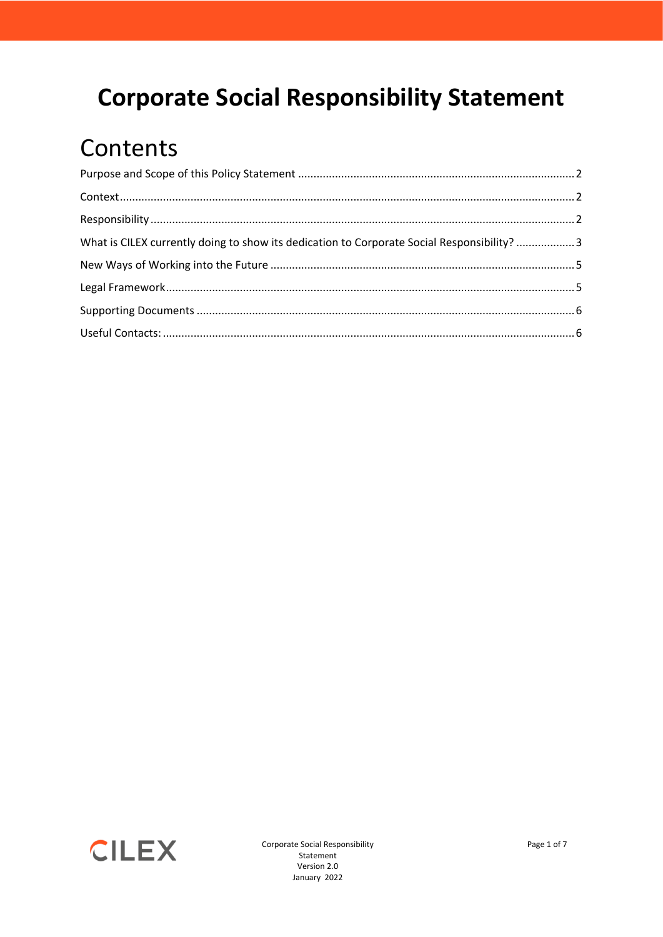## **Corporate Social Responsibility Statement**

## Contents

| What is CILEX currently doing to show its dedication to Corporate Social Responsibility? 3 |  |
|--------------------------------------------------------------------------------------------|--|
|                                                                                            |  |
|                                                                                            |  |
|                                                                                            |  |
|                                                                                            |  |
|                                                                                            |  |



Corporate Social Responsibility Statement Version 2.0 January 2022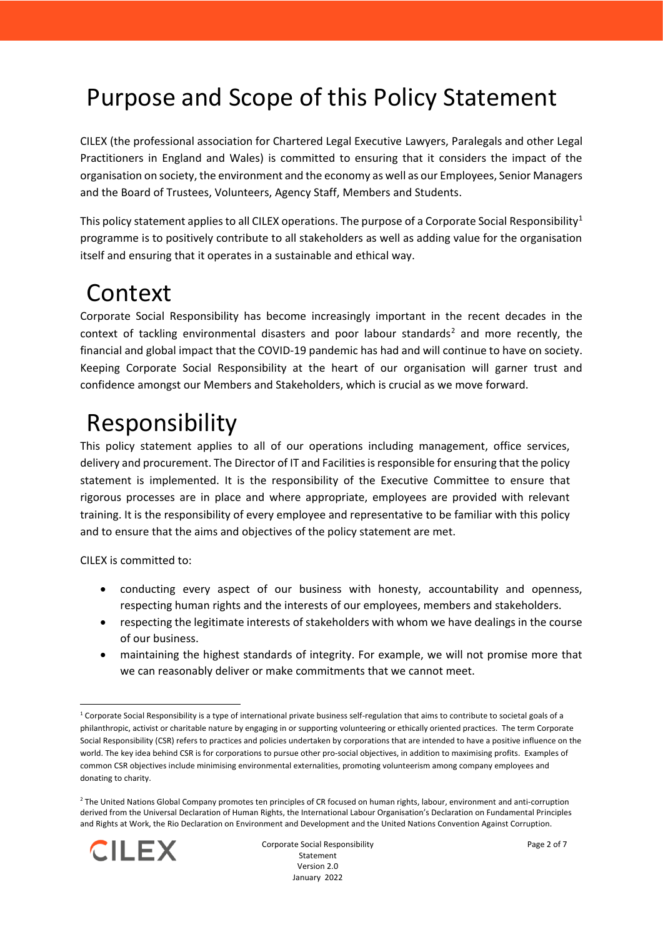## <span id="page-1-0"></span>Purpose and Scope of this Policy Statement

CILEX (the professional association for Chartered Legal Executive Lawyers, Paralegals and other Legal Practitioners in England and Wales) is committed to ensuring that it considers the impact of the organisation on society, the environment and the economy as well as our Employees, Senior Managers and the Board of Trustees, Volunteers, Agency Staff, Members and Students.

This policy statement applies to all CILEX operations. The purpose of a Corporate Social Responsibility<sup>1</sup> programme is to positively contribute to all stakeholders as well as adding value for the organisation itself and ensuring that it operates in a sustainable and ethical way.

### <span id="page-1-1"></span>Context

Corporate Social Responsibility has become increasingly important in the recent decades in the context of tackling environmental disasters and poor labour standards<sup>2</sup> and more recently, the financial and global impact that the COVID-19 pandemic has had and will continue to have on society. Keeping Corporate Social Responsibility at the heart of our organisation will garner trust and confidence amongst our Members and Stakeholders, which is crucial as we move forward.

# <span id="page-1-2"></span>Responsibility

This policy statement applies to all of our operations including management, office services, delivery and procurement. The Director of IT and Facilities is responsible for ensuring that the policy statement is implemented. It is the responsibility of the Executive Committee to ensure that rigorous processes are in place and where appropriate, employees are provided with relevant training. It is the responsibility of every employee and representative to be familiar with this policy and to ensure that the aims and objectives of the policy statement are met.

CILEX is committed to:

- conducting every aspect of our business with honesty, accountability and openness, respecting human rights and the interests of our employees, members and stakeholders.
- respecting the legitimate interests of stakeholders with whom we have dealings in the course of our business.
- maintaining the highest standards of integrity. For example, we will not promise more that we can reasonably deliver or make commitments that we cannot meet.

<sup>&</sup>lt;sup>2</sup> The United Nations Global Company promotes ten principles of CR focused on human rights, labour, environment and anti-corruption derived from the Universal Declaration of Human Rights, the International Labour Organisation's Declaration on Fundamental Principles and Rights at Work, the Rio Declaration on Environment and Development and the United Nations Convention Against Corruption.



 $1$  Corporate Social Responsibility is a type of international private business self-regulation that aims to contribute to societal goals of a philanthropic, activist or charitable nature by engaging in or supporting volunteering or ethically oriented practices. The term Corporate Social Responsibility (CSR) refers to practices and policies undertaken by corporations that are intended to have a positive influence on the world. The key idea behind CSR is for corporations to pursue other pro-social objectives, in addition to maximising profits. Examples of common CSR objectives include minimising environmental externalities, promoting volunteerism among company employees and donating to charity.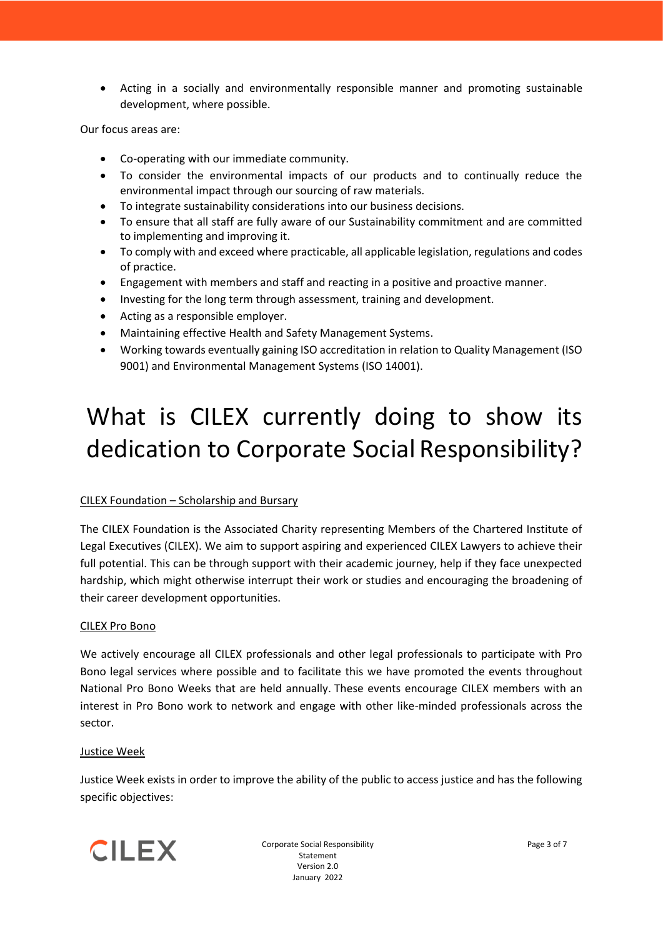• Acting in a socially and environmentally responsible manner and promoting sustainable development, where possible.

Our focus areas are:

- Co-operating with our immediate community.
- To consider the environmental impacts of our products and to continually reduce the environmental impact through our sourcing of raw materials.
- To integrate sustainability considerations into our business decisions.
- To ensure that all staff are fully aware of our Sustainability commitment and are committed to implementing and improving it.
- To comply with and exceed where practicable, all applicable legislation, regulations and codes of practice.
- Engagement with members and staff and reacting in a positive and proactive manner.
- Investing for the long term through assessment, training and development.
- Acting as a responsible employer.
- Maintaining effective Health and Safety Management Systems.
- Working towards eventually gaining ISO accreditation in relation to Quality Management (ISO 9001) and Environmental Management Systems (ISO 14001).

# <span id="page-2-0"></span>What is CILEX currently doing to show its dedication to Corporate Social Responsibility?

### CILEX Foundation – Scholarship and Bursary

The CILEX Foundation is the Associated Charity representing Members of the Chartered Institute of Legal Executives (CILEX). We aim to support aspiring and experienced CILEX Lawyers to achieve their full potential. This can be through support with their academic journey, help if they face unexpected hardship, which might otherwise interrupt their work or studies and encouraging the broadening of their career development opportunities.

#### CILEX Pro Bono

We actively encourage all CILEX professionals and other legal professionals to participate with Pro Bono legal services where possible and to facilitate this we have promoted the events throughout National Pro Bono Weeks that are held annually. These events encourage CILEX members with an interest in Pro Bono work to network and engage with other like-minded professionals across the sector.

### Justice Week

Justice Week exists in order to improve the ability of the public to access justice and has the following specific objectives:



Corporate Social Responsibility Statement Version 2.0 January 2022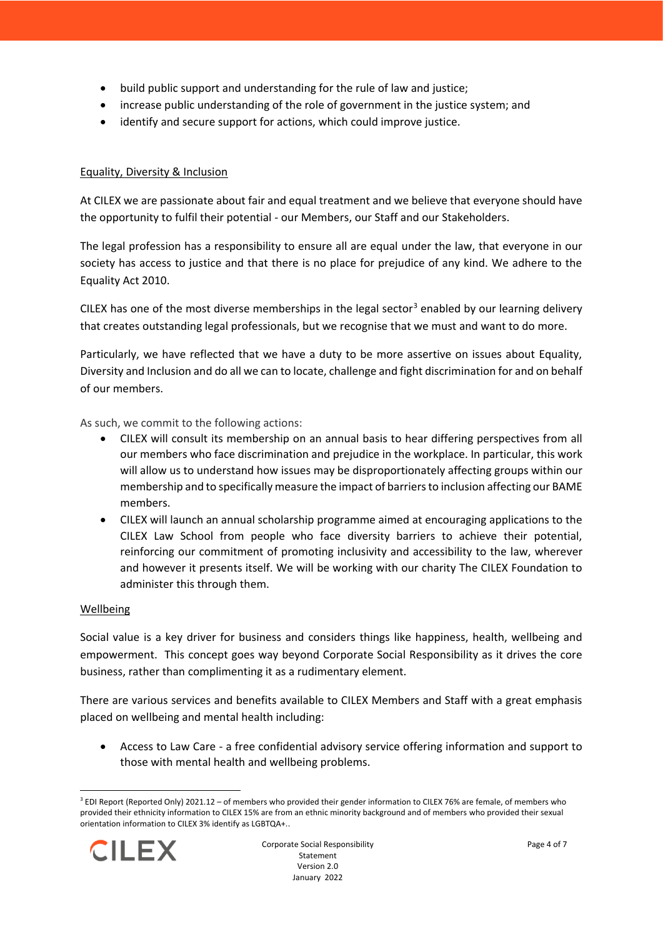- build public support and understanding for the rule of law and justice;
- increase public understanding of the role of government in the justice system; and
- identify and secure support for actions, which could improve justice.

#### Equality, Diversity & Inclusion

At CILEX we are passionate about fair and equal treatment and we believe that everyone should have the opportunity to fulfil their potential - our Members, our Staff and our Stakeholders.

The legal profession has a responsibility to ensure all are equal under the law, that everyone in our society has access to justice and that there is no place for prejudice of any kind. We adhere to the Equality Act 2010.

CILEX has one of the most diverse memberships in the legal sector<sup>3</sup> enabled by our learning delivery that creates outstanding legal professionals, but we recognise that we must and want to do more.

Particularly, we have reflected that we have a duty to be more assertive on issues about Equality, Diversity and Inclusion and do all we can to locate, challenge and fight discrimination for and on behalf of our members.

As such, we commit to the following actions:

- CILEX will consult its membership on an annual basis to hear differing perspectives from all our members who face discrimination and prejudice in the workplace. In particular, this work will allow us to understand how issues may be disproportionately affecting groups within our membership and to specifically measure the impact of barriers to inclusion affecting our BAME members.
- CILEX will launch an annual scholarship programme aimed at encouraging applications to the CILEX Law School from people who face diversity barriers to achieve their potential, reinforcing our commitment of promoting inclusivity and accessibility to the law, wherever and however it presents itself. We will be working with our charity The CILEX Foundation to administer this through them.

#### Wellbeing

Social value is a key driver for business and considers things like happiness, health, wellbeing and empowerment. This concept goes way beyond Corporate Social Responsibility as it drives the core business, rather than complimenting it as a rudimentary element.

There are various services and benefits available to CILEX Members and Staff with a great emphasis placed on wellbeing and mental health including:

• Access to Law Care - a free confidential advisory service offering information and support to those with mental health and wellbeing problems.

<sup>3</sup> EDI Report (Reported Only) 2021.12 – of members who provided their gender information to CILEX 76% are female, of members who provided their ethnicity information to CILEX 15% are from an ethnic minority background and of members who provided their sexual orientation information to CILEX 3% identify as LGBTQA+..

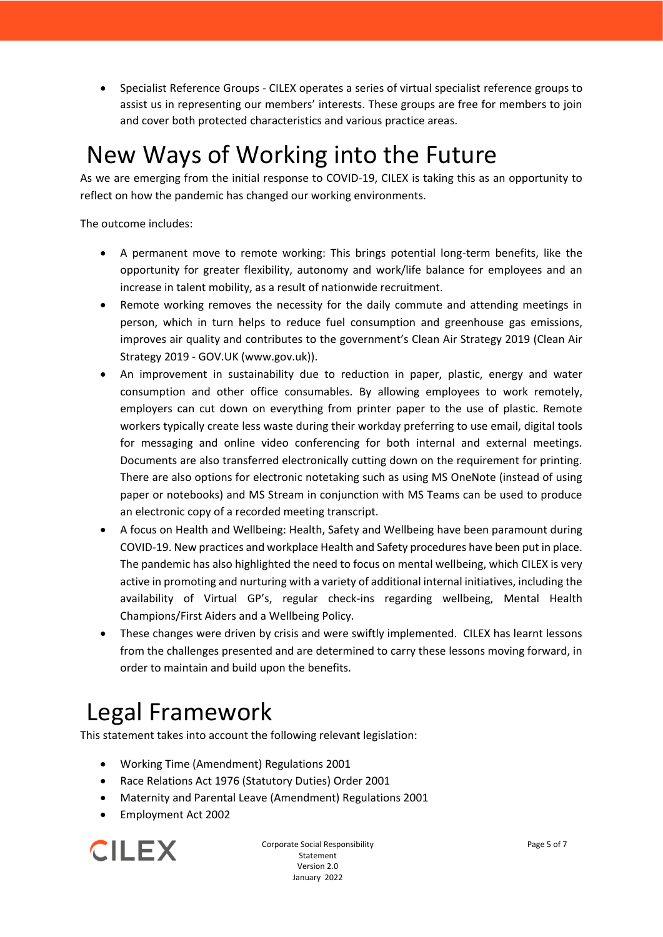• Specialist Reference Groups - CILEX operates a series of virtual specialist reference groups to assist us in representing our members' interests. These groups are free for members to join and cover both protected characteristics and various practice areas.

### <span id="page-4-0"></span>New Ways of Working into the Future

As we are emerging from the initial response to COVID-19, CILEX is taking this as an opportunity to reflect on how the pandemic has changed our working environments.

The outcome includes:

- A permanent move to remote working: This brings potential long-term benefits, like the opportunity for greater flexibility, autonomy and work/life balance for employees and an increase in talent mobility, as a result of nationwide recruitment.
- Remote working removes the necessity for the daily commute and attending meetings in person, which in turn helps to reduce fuel consumption and greenhouse gas emissions, improves air quality and contributes to the government's Clean Air Strategy 2019 (Clean Air Strategy 2019 - GOV.UK [\(www.gov.uk\)\)](http://www.gov.uk)/).
- An improvement in sustainability due to reduction in paper, plastic, energy and water consumption and other office consumables. By allowing employees to work remotely, employers can cut down on everything from printer paper to the use of plastic. Remote workers typically create less waste during their workday preferring to use email, digital tools for messaging and online video conferencing for both internal and external meetings. Documents are also transferred electronically cutting down on the requirement for printing. There are also options for electronic notetaking such as using MS OneNote (instead of using paper or notebooks) and MS Stream in conjunction with MS Teams can be used to produce an electronic copy of a recorded meeting transcript.
- A focus on Health and Wellbeing: Health, Safety and Wellbeing have been paramount during COVID-19. New practices and workplace Health and Safety procedures have been put in place. The pandemic has also highlighted the need to focus on mental wellbeing, which CILEX is very active in promoting and nurturing with a variety of additional internal initiatives, including the availability of Virtual GP's, regular check-ins regarding wellbeing, Mental Health Champions/First Aiders and a Wellbeing Policy.
- These changes were driven by crisis and were swiftly implemented. CILEX has learnt lessons from the challenges presented and are determined to carry these lessons moving forward, in order to maintain and build upon the benefits.

# <span id="page-4-1"></span>Legal Framework

This statement takes into account the following relevant legislation:

- Working Time (Amendment) Regulations 2001
- Race Relations Act 1976 (Statutory Duties) Order 2001
- Maternity and Parental Leave (Amendment) Regulations 2001
- Employment Act 2002



Corporate Social Responsibility Statement Version 2.0 January 2022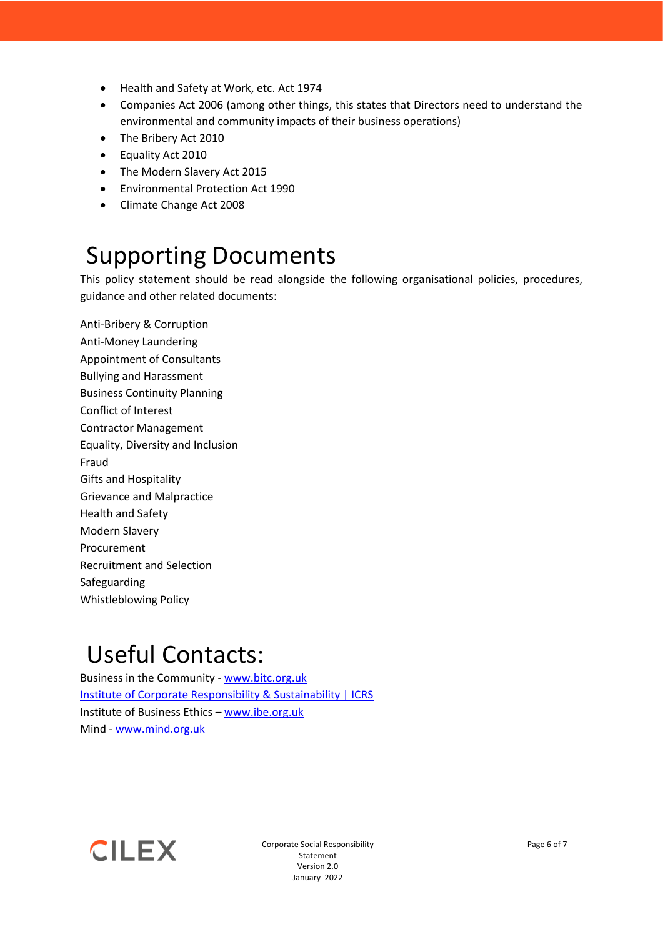- Health and Safety at Work, etc. Act 1974
- Companies Act 2006 (among other things, this states that Directors need to understand the environmental and community impacts of their business operations)
- The Bribery Act 2010
- Equality Act 2010
- The Modern Slavery Act 2015
- Environmental Protection Act 1990
- Climate Change Act 2008

### <span id="page-5-0"></span>Supporting Documents

This policy statement should be read alongside the following organisational policies, procedures, guidance and other related documents:

Anti-Bribery & Corruption Anti-Money Laundering Appointment of Consultants Bullying and Harassment Business Continuity Planning Conflict of Interest Contractor Management Equality, Diversity and Inclusion Fraud Gifts and Hospitality Grievance and Malpractice Health and Safety Modern Slavery Procurement Recruitment and Selection Safeguarding Whistleblowing Policy

### <span id="page-5-1"></span>Useful Contacts:

Business in the Community - [www.bitc.org.uk](http://www.bitc.org.uk/) [Institute of Corporate Responsibility & Sustainability | ICRS](https://icrs.info/) Institute of Business Ethics – [www.ibe.org.uk](http://www.ibe.org.uk/) Mind - [www.mind.org.uk](http://www.mind.org.uk/)



Corporate Social Responsibility Statement Version 2.0 January 2022